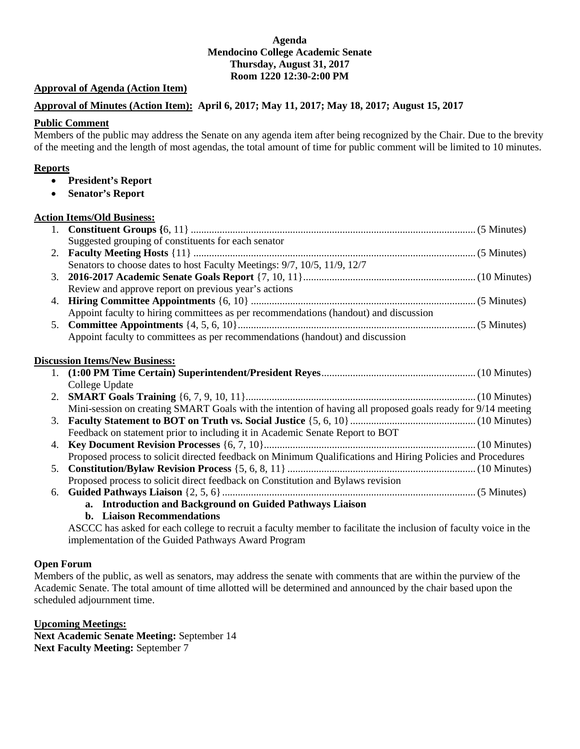# **Agenda Mendocino College Academic Senate Thursday, August 31, 2017 Room 1220 12:30-2:00 PM**

# **Approval of Agenda (Action Item)**

# **Approval of Minutes (Action Item): April 6, 2017; May 11, 2017; May 18, 2017; August 15, 2017**

# **Public Comment**

Members of the public may address the Senate on any agenda item after being recognized by the Chair. Due to the brevity of the meeting and the length of most agendas, the total amount of time for public comment will be limited to 10 minutes.

# **Reports**

- **President's Report**
- **Senator's Report**

# **Action Items/Old Business:**

|    | Suggested grouping of constituents for each senator                                                         |  |
|----|-------------------------------------------------------------------------------------------------------------|--|
| 2. |                                                                                                             |  |
|    | Senators to choose dates to host Faculty Meetings: 9/7, 10/5, 11/9, 12/7                                    |  |
| 3. |                                                                                                             |  |
|    | Review and approve report on previous year's actions                                                        |  |
| 4. |                                                                                                             |  |
|    | Appoint faculty to hiring committees as per recommendations (handout) and discussion                        |  |
| 5. |                                                                                                             |  |
|    | Appoint faculty to committees as per recommendations (handout) and discussion                               |  |
|    | <b>Discussion Items/New Business:</b>                                                                       |  |
|    |                                                                                                             |  |
|    | College Update                                                                                              |  |
| 2. |                                                                                                             |  |
|    | Mini-session on creating SMART Goals with the intention of having all proposed goals ready for 9/14 meeting |  |
| 3. |                                                                                                             |  |
|    | Feedback on statement prior to including it in Academic Senate Report to BOT                                |  |
| 4. |                                                                                                             |  |
|    | Proposed process to solicit directed feedback on Minimum Qualifications and Hiring Policies and Procedures  |  |
| 5. |                                                                                                             |  |
|    | Proposed process to solicit direct feedback on Constitution and Bylaws revision                             |  |
| 6. |                                                                                                             |  |
|    | a. Introduction and Background on Guided Pathways Liaison                                                   |  |
|    | b. Liaison Recommendations                                                                                  |  |

ASCCC has asked for each college to recruit a faculty member to facilitate the inclusion of faculty voice in the implementation of the Guided Pathways Award Program

# **Open Forum**

Members of the public, as well as senators, may address the senate with comments that are within the purview of the Academic Senate. The total amount of time allotted will be determined and announced by the chair based upon the scheduled adjournment time.

**Upcoming Meetings:** 

**Next Academic Senate Meeting:** September 14 **Next Faculty Meeting:** September 7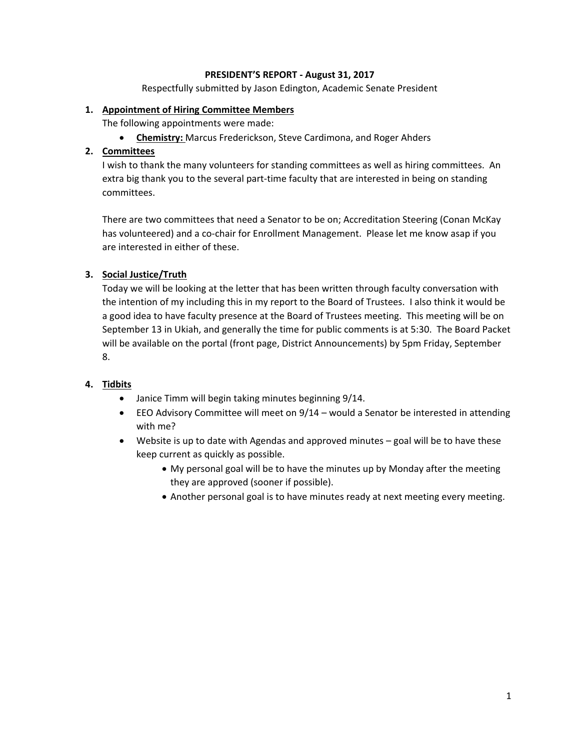# **PRESIDENT'S REPORT - August 31, 2017**

Respectfully submitted by Jason Edington, Academic Senate President

# **1. Appointment of Hiring Committee Members**

The following appointments were made:

• **Chemistry:** Marcus Frederickson, Steve Cardimona, and Roger Ahders

# **2. Committees**

I wish to thank the many volunteers for standing committees as well as hiring committees. An extra big thank you to the several part-time faculty that are interested in being on standing committees.

There are two committees that need a Senator to be on; Accreditation Steering (Conan McKay has volunteered) and a co-chair for Enrollment Management. Please let me know asap if you are interested in either of these.

# **3. Social Justice/Truth**

Today we will be looking at the letter that has been written through faculty conversation with the intention of my including this in my report to the Board of Trustees. I also think it would be a good idea to have faculty presence at the Board of Trustees meeting. This meeting will be on September 13 in Ukiah, and generally the time for public comments is at 5:30. The Board Packet will be available on the portal (front page, District Announcements) by 5pm Friday, September 8.

# **4. Tidbits**

- Janice Timm will begin taking minutes beginning 9/14.
- EEO Advisory Committee will meet on 9/14 would a Senator be interested in attending with me?
- Website is up to date with Agendas and approved minutes goal will be to have these keep current as quickly as possible.
	- My personal goal will be to have the minutes up by Monday after the meeting they are approved (sooner if possible).
	- Another personal goal is to have minutes ready at next meeting every meeting.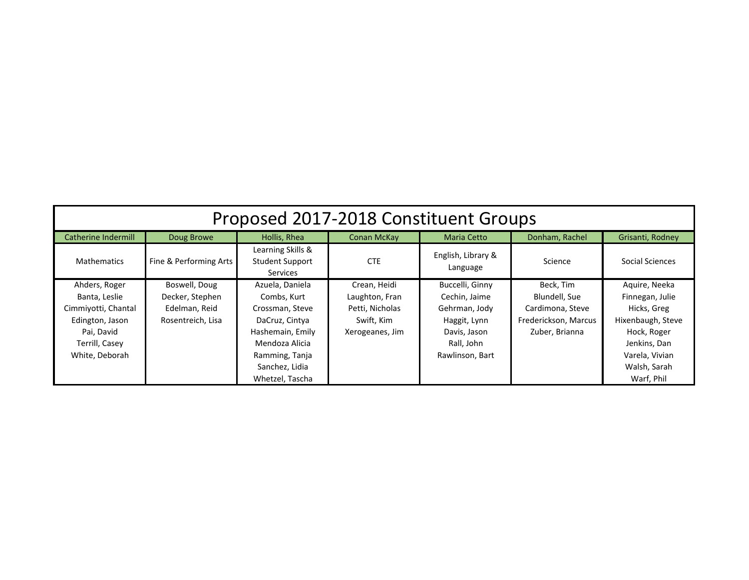| Proposed 2017-2018 Constituent Groups |                        |                                                                |                    |                                |                      |                   |  |  |
|---------------------------------------|------------------------|----------------------------------------------------------------|--------------------|--------------------------------|----------------------|-------------------|--|--|
| Catherine Indermill                   | Doug Browe             | Hollis, Rhea                                                   | <b>Conan McKay</b> | <b>Maria Cetto</b>             | Donham, Rachel       | Grisanti, Rodney  |  |  |
| <b>Mathematics</b>                    | Fine & Performing Arts | Learning Skills &<br><b>Student Support</b><br><b>Services</b> | <b>CTE</b>         | English, Library &<br>Language | Science              | Social Sciences   |  |  |
| Ahders, Roger                         | Boswell, Doug          | Azuela, Daniela                                                | Crean, Heidi       | Buccelli, Ginny                | Beck, Tim            | Aquire, Neeka     |  |  |
| Banta, Leslie                         | Decker, Stephen        | Combs, Kurt                                                    | Laughton, Fran     | Cechin, Jaime                  | Blundell, Sue        | Finnegan, Julie   |  |  |
| Cimmiyotti, Chantal                   | Edelman, Reid          | Crossman, Steve                                                | Petti, Nicholas    | Gehrman, Jody                  | Cardimona, Steve     | Hicks, Greg       |  |  |
| Edington, Jason                       | Rosentreich, Lisa      | DaCruz, Cintya                                                 | Swift, Kim         | Haggit, Lynn                   | Frederickson, Marcus | Hixenbaugh, Steve |  |  |
| Pai, David                            |                        | Hashemain, Emily                                               | Xerogeanes, Jim    | Davis, Jason                   | Zuber, Brianna       | Hock, Roger       |  |  |
| Terrill, Casey                        |                        | Mendoza Alicia                                                 |                    | Rall, John                     |                      | Jenkins, Dan      |  |  |
| White, Deborah                        |                        | Ramming, Tanja                                                 |                    | Rawlinson, Bart                |                      | Varela, Vivian    |  |  |
|                                       |                        | Sanchez, Lidia                                                 |                    |                                |                      | Walsh, Sarah      |  |  |
|                                       |                        | Whetzel, Tascha                                                |                    |                                |                      | Warf, Phil        |  |  |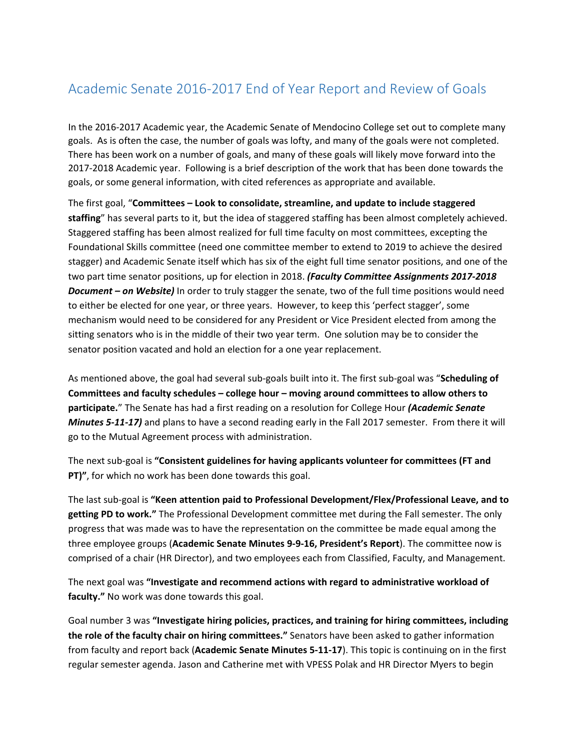# Academic Senate 2016-2017 End of Year Report and Review of Goals

In the 2016-2017 Academic year, the Academic Senate of Mendocino College set out to complete many goals. As is often the case, the number of goals was lofty, and many of the goals were not completed. There has been work on a number of goals, and many of these goals will likely move forward into the 2017-2018 Academic year. Following is a brief description of the work that has been done towards the goals, or some general information, with cited references as appropriate and available.

The first goal, "**Committees – Look to consolidate, streamline, and update to include staggered staffing**" has several parts to it, but the idea of staggered staffing has been almost completely achieved. Staggered staffing has been almost realized for full time faculty on most committees, excepting the Foundational Skills committee (need one committee member to extend to 2019 to achieve the desired stagger) and Academic Senate itself which has six of the eight full time senator positions, and one of the two part time senator positions, up for election in 2018. *(Faculty Committee Assignments 2017-2018 Document – on Website)* In order to truly stagger the senate, two of the full time positions would need to either be elected for one year, or three years. However, to keep this 'perfect stagger', some mechanism would need to be considered for any President or Vice President elected from among the sitting senators who is in the middle of their two year term. One solution may be to consider the senator position vacated and hold an election for a one year replacement.

As mentioned above, the goal had several sub-goals built into it. The first sub-goal was "**Scheduling of Committees and faculty schedules – college hour – moving around committees to allow others to participate.**" The Senate has had a first reading on a resolution for College Hour *(Academic Senate Minutes 5-11-17)* and plans to have a second reading early in the Fall 2017 semester. From there it will go to the Mutual Agreement process with administration.

The next sub-goal is **"Consistent guidelines for having applicants volunteer for committees (FT and PT)"**, for which no work has been done towards this goal.

The last sub-goal is **"Keen attention paid to Professional Development/Flex/Professional Leave, and to getting PD to work."** The Professional Development committee met during the Fall semester. The only progress that was made was to have the representation on the committee be made equal among the three employee groups (**Academic Senate Minutes 9-9-16, President's Report**). The committee now is comprised of a chair (HR Director), and two employees each from Classified, Faculty, and Management.

The next goal was **"Investigate and recommend actions with regard to administrative workload of faculty."** No work was done towards this goal.

Goal number 3 was **"Investigate hiring policies, practices, and training for hiring committees, including the role of the faculty chair on hiring committees."** Senators have been asked to gather information from faculty and report back (**Academic Senate Minutes 5-11-17**). This topic is continuing on in the first regular semester agenda. Jason and Catherine met with VPESS Polak and HR Director Myers to begin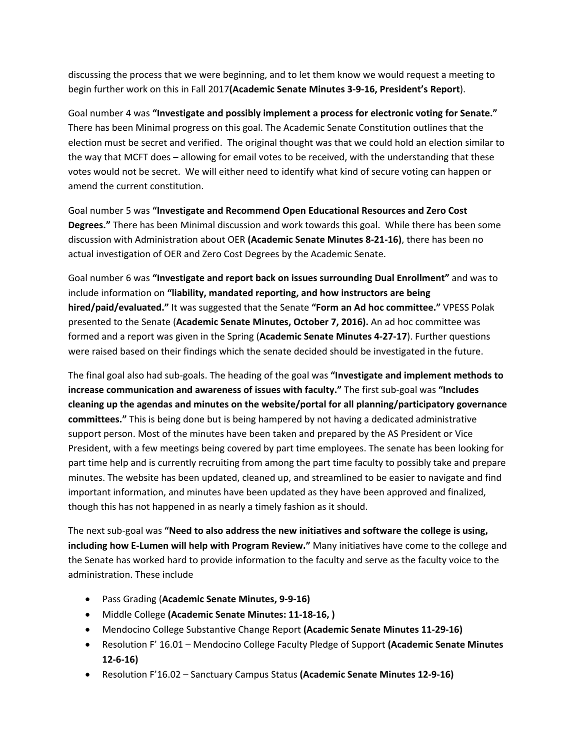discussing the process that we were beginning, and to let them know we would request a meeting to begin further work on this in Fall 2017**(Academic Senate Minutes 3-9-16, President's Report**).

Goal number 4 was **"Investigate and possibly implement a process for electronic voting for Senate."** There has been Minimal progress on this goal. The Academic Senate Constitution outlines that the election must be secret and verified. The original thought was that we could hold an election similar to the way that MCFT does – allowing for email votes to be received, with the understanding that these votes would not be secret. We will either need to identify what kind of secure voting can happen or amend the current constitution.

Goal number 5 was **"Investigate and Recommend Open Educational Resources and Zero Cost Degrees."** There has been Minimal discussion and work towards this goal. While there has been some discussion with Administration about OER **(Academic Senate Minutes 8-21-16)**, there has been no actual investigation of OER and Zero Cost Degrees by the Academic Senate.

Goal number 6 was **"Investigate and report back on issues surrounding Dual Enrollment"** and was to include information on **"liability, mandated reporting, and how instructors are being hired/paid/evaluated."** It was suggested that the Senate **"Form an Ad hoc committee."** VPESS Polak presented to the Senate (**Academic Senate Minutes, October 7, 2016).** An ad hoc committee was formed and a report was given in the Spring (**Academic Senate Minutes 4-27-17**). Further questions were raised based on their findings which the senate decided should be investigated in the future.

The final goal also had sub-goals. The heading of the goal was **"Investigate and implement methods to increase communication and awareness of issues with faculty."** The first sub-goal was **"Includes cleaning up the agendas and minutes on the website/portal for all planning/participatory governance committees."** This is being done but is being hampered by not having a dedicated administrative support person. Most of the minutes have been taken and prepared by the AS President or Vice President, with a few meetings being covered by part time employees. The senate has been looking for part time help and is currently recruiting from among the part time faculty to possibly take and prepare minutes. The website has been updated, cleaned up, and streamlined to be easier to navigate and find important information, and minutes have been updated as they have been approved and finalized, though this has not happened in as nearly a timely fashion as it should.

The next sub-goal was **"Need to also address the new initiatives and software the college is using, including how E-Lumen will help with Program Review."** Many initiatives have come to the college and the Senate has worked hard to provide information to the faculty and serve as the faculty voice to the administration. These include

- Pass Grading (**Academic Senate Minutes, 9-9-16)**
- Middle College **(Academic Senate Minutes: 11-18-16, )**
- Mendocino College Substantive Change Report **(Academic Senate Minutes 11-29-16)**
- Resolution F' 16.01 Mendocino College Faculty Pledge of Support **(Academic Senate Minutes 12-6-16)**
- Resolution F'16.02 Sanctuary Campus Status **(Academic Senate Minutes 12-9-16)**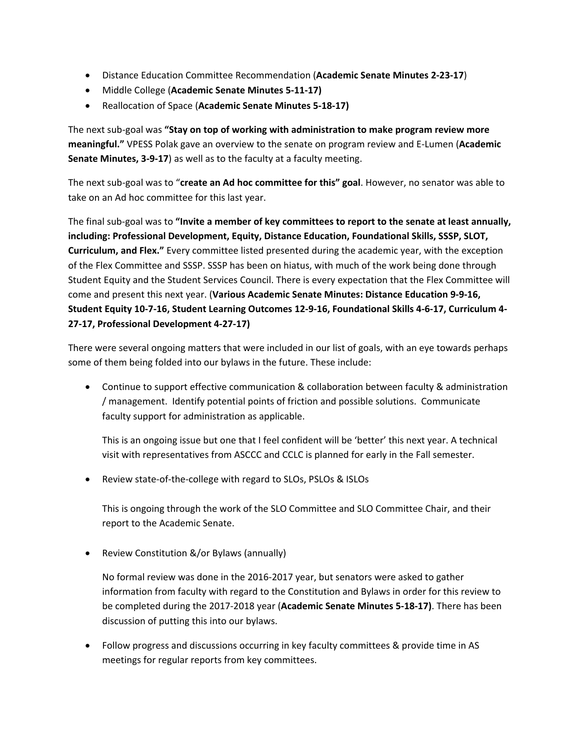- Distance Education Committee Recommendation (**Academic Senate Minutes 2-23-17**)
- Middle College (**Academic Senate Minutes 5-11-17)**
- Reallocation of Space (**Academic Senate Minutes 5-18-17)**

The next sub-goal was **"Stay on top of working with administration to make program review more meaningful."** VPESS Polak gave an overview to the senate on program review and E-Lumen (**Academic Senate Minutes, 3-9-17**) as well as to the faculty at a faculty meeting.

The next sub-goal was to "**create an Ad hoc committee for this" goal**. However, no senator was able to take on an Ad hoc committee for this last year.

The final sub-goal was to **"Invite a member of key committees to report to the senate at least annually, including: Professional Development, Equity, Distance Education, Foundational Skills, SSSP, SLOT, Curriculum, and Flex."** Every committee listed presented during the academic year, with the exception of the Flex Committee and SSSP. SSSP has been on hiatus, with much of the work being done through Student Equity and the Student Services Council. There is every expectation that the Flex Committee will come and present this next year. (**Various Academic Senate Minutes: Distance Education 9-9-16, Student Equity 10-7-16, Student Learning Outcomes 12-9-16, Foundational Skills 4-6-17, Curriculum 4- 27-17, Professional Development 4-27-17)**

There were several ongoing matters that were included in our list of goals, with an eye towards perhaps some of them being folded into our bylaws in the future. These include:

• Continue to support effective communication & collaboration between faculty & administration / management. Identify potential points of friction and possible solutions. Communicate faculty support for administration as applicable.

This is an ongoing issue but one that I feel confident will be 'better' this next year. A technical visit with representatives from ASCCC and CCLC is planned for early in the Fall semester.

• Review state-of-the-college with regard to SLOs, PSLOs & ISLOs

This is ongoing through the work of the SLO Committee and SLO Committee Chair, and their report to the Academic Senate.

• Review Constitution &/or Bylaws (annually)

No formal review was done in the 2016-2017 year, but senators were asked to gather information from faculty with regard to the Constitution and Bylaws in order for this review to be completed during the 2017-2018 year (**Academic Senate Minutes 5-18-17)**. There has been discussion of putting this into our bylaws.

• Follow progress and discussions occurring in key faculty committees & provide time in AS meetings for regular reports from key committees.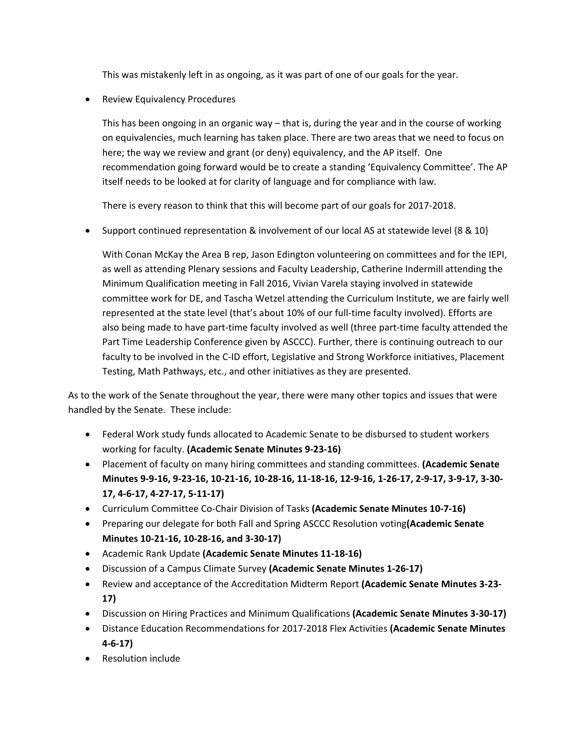This was mistakenly left in as ongoing, as it was part of one of our goals for the year.

• Review Equivalency Procedures

This has been ongoing in an organic way – that is, during the year and in the course of working on equivalencies, much learning has taken place. There are two areas that we need to focus on here; the way we review and grant (or deny) equivalency, and the AP itself. One recommendation going forward would be to create a standing 'Equivalency Committee'. The AP itself needs to be looked at for clarity of language and for compliance with law.

There is every reason to think that this will become part of our goals for 2017-2018.

• Support continued representation & involvement of our local AS at statewide level  $\{8, 8, 10\}$ 

With Conan McKay the Area B rep, Jason Edington volunteering on committees and for the IEPI, as well as attending Plenary sessions and Faculty Leadership, Catherine Indermill attending the Minimum Qualification meeting in Fall 2016, Vivian Varela staying involved in statewide committee work for DE, and Tascha Wetzel attending the Curriculum Institute, we are fairly well represented at the state level (that's about 10% of our full-time faculty involved). Efforts are also being made to have part-time faculty involved as well (three part-time faculty attended the Part Time Leadership Conference given by ASCCC). Further, there is continuing outreach to our faculty to be involved in the C-ID effort, Legislative and Strong Workforce initiatives, Placement Testing, Math Pathways, etc., and other initiatives as they are presented.

As to the work of the Senate throughout the year, there were many other topics and issues that were handled by the Senate. These include:

- Federal Work study funds allocated to Academic Senate to be disbursed to student workers working for faculty. **(Academic Senate Minutes 9-23-16)**
- Placement of faculty on many hiring committees and standing committees. **(Academic Senate Minutes 9-9-16, 9-23-16, 10-21-16, 10-28-16, 11-18-16, 12-9-16, 1-26-17, 2-9-17, 3-9-17, 3-30- 17, 4-6-17, 4-27-17, 5-11-17)**
- Curriculum Committee Co-Chair Division of Tasks **(Academic Senate Minutes 10-7-16)**
- Preparing our delegate for both Fall and Spring ASCCC Resolution voting**(Academic Senate Minutes 10-21-16, 10-28-16, and 3-30-17)**
- Academic Rank Update **(Academic Senate Minutes 11-18-16)**
- Discussion of a Campus Climate Survey **(Academic Senate Minutes 1-26-17)**
- Review and acceptance of the Accreditation Midterm Report **(Academic Senate Minutes 3-23- 17)**
- Discussion on Hiring Practices and Minimum Qualifications **(Academic Senate Minutes 3-30-17)**
- Distance Education Recommendations for 2017-2018 Flex Activities **(Academic Senate Minutes 4-6-17)**
- Resolution include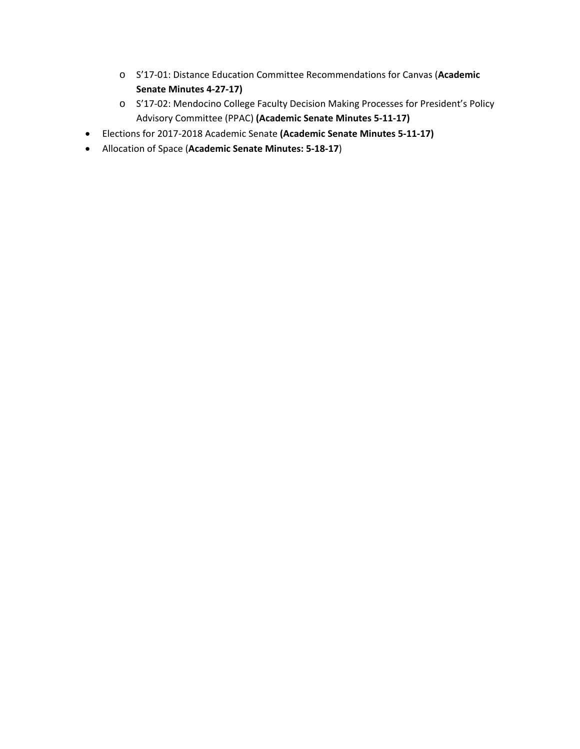- o S'17-01: Distance Education Committee Recommendations for Canvas (**Academic Senate Minutes 4-27-17)**
- o S'17-02: Mendocino College Faculty Decision Making Processes for President's Policy Advisory Committee (PPAC) **(Academic Senate Minutes 5-11-17)**
- Elections for 2017-2018 Academic Senate **(Academic Senate Minutes 5-11-17)**
- Allocation of Space (**Academic Senate Minutes: 5-18-17**)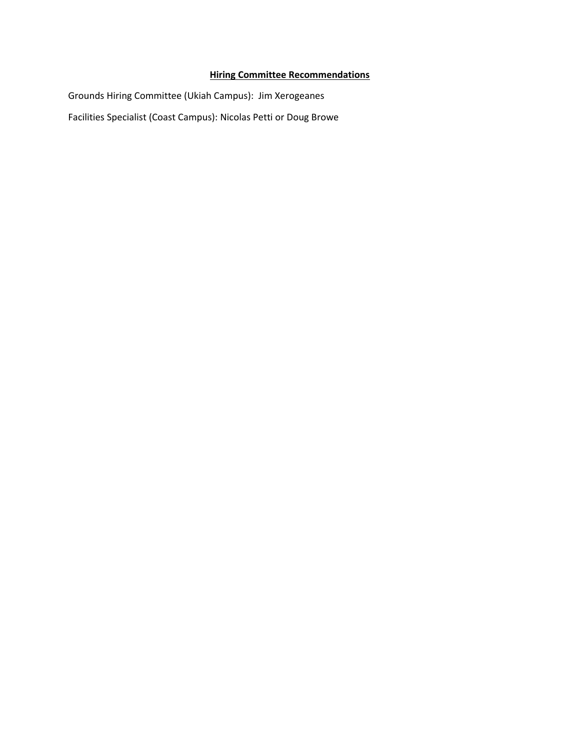# **Hiring Committee Recommendations**

Grounds Hiring Committee (Ukiah Campus): Jim Xerogeanes Facilities Specialist (Coast Campus): Nicolas Petti or Doug Browe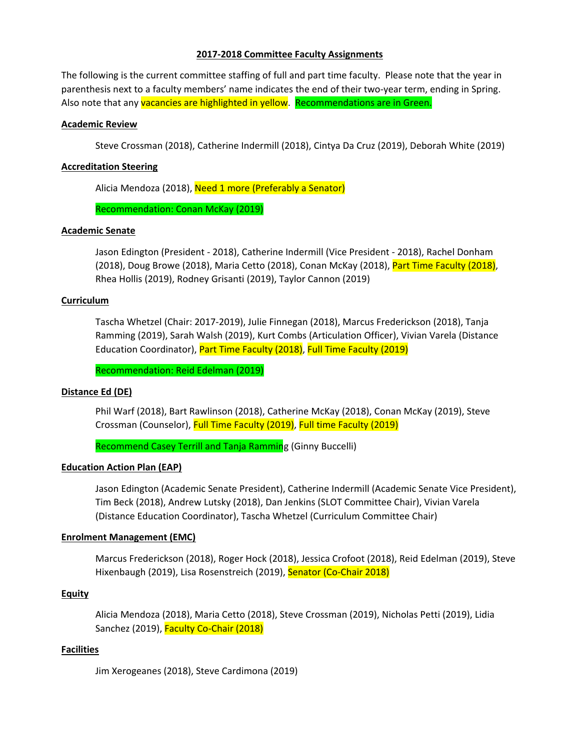# **2017-2018 Committee Faculty Assignments**

The following is the current committee staffing of full and part time faculty. Please note that the year in parenthesis next to a faculty members' name indicates the end of their two-year term, ending in Spring. Also note that any vacancies are highlighted in yellow. Recommendations are in Green.

# **Academic Review**

Steve Crossman (2018), Catherine Indermill (2018), Cintya Da Cruz (2019), Deborah White (2019)

# **Accreditation Steering**

Alicia Mendoza (2018), Need 1 more (Preferably a Senator)

Recommendation: Conan McKay (2019)

# **Academic Senate**

Jason Edington (President - 2018), Catherine Indermill (Vice President - 2018), Rachel Donham (2018), Doug Browe (2018), Maria Cetto (2018), Conan McKay (2018), Part Time Faculty (2018), Rhea Hollis (2019), Rodney Grisanti (2019), Taylor Cannon (2019)

#### **Curriculum**

Tascha Whetzel (Chair: 2017-2019), Julie Finnegan (2018), Marcus Frederickson (2018), Tanja Ramming (2019), Sarah Walsh (2019), Kurt Combs (Articulation Officer), Vivian Varela (Distance Education Coordinator), Part Time Faculty (2018), Full Time Faculty (2019)

Recommendation: Reid Edelman (2019)

# **Distance Ed (DE)**

Phil Warf (2018), Bart Rawlinson (2018), Catherine McKay (2018), Conan McKay (2019), Steve Crossman (Counselor), Full Time Faculty (2019), Full time Faculty (2019)

Recommend Casey Terrill and Tanja Ramming (Ginny Buccelli)

#### **Education Action Plan (EAP)**

Jason Edington (Academic Senate President), Catherine Indermill (Academic Senate Vice President), Tim Beck (2018), Andrew Lutsky (2018), Dan Jenkins (SLOT Committee Chair), Vivian Varela (Distance Education Coordinator), Tascha Whetzel (Curriculum Committee Chair)

#### **Enrolment Management (EMC)**

Marcus Frederickson (2018), Roger Hock (2018), Jessica Crofoot (2018), Reid Edelman (2019), Steve Hixenbaugh (2019), Lisa Rosenstreich (2019), Senator (Co-Chair 2018)

#### **Equity**

Alicia Mendoza (2018), Maria Cetto (2018), Steve Crossman (2019), Nicholas Petti (2019), Lidia Sanchez (2019), Faculty Co-Chair (2018)

# **Facilities**

Jim Xerogeanes (2018), Steve Cardimona (2019)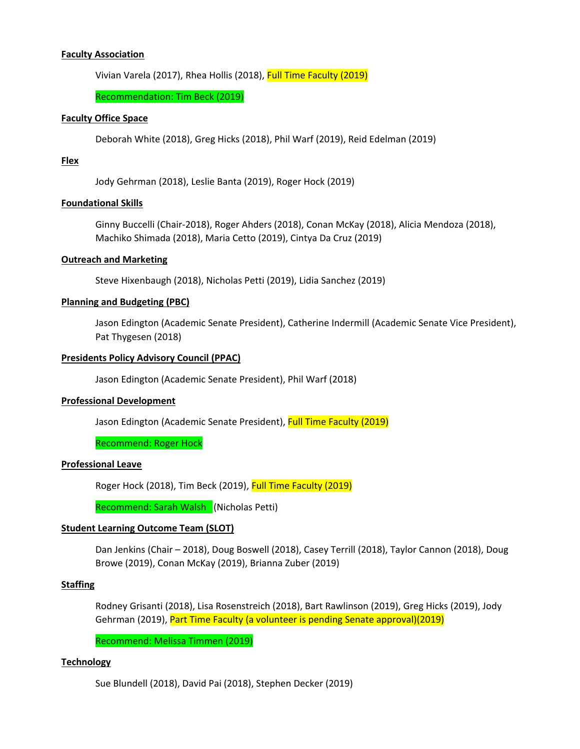### **Faculty Association**

Vivian Varela (2017), Rhea Hollis (2018), Full Time Faculty (2019)

Recommendation: Tim Beck (2019)

#### **Faculty Office Space**

Deborah White (2018), Greg Hicks (2018), Phil Warf (2019), Reid Edelman (2019)

# **Flex**

Jody Gehrman (2018), Leslie Banta (2019), Roger Hock (2019)

#### **Foundational Skills**

Ginny Buccelli (Chair-2018), Roger Ahders (2018), Conan McKay (2018), Alicia Mendoza (2018), Machiko Shimada (2018), Maria Cetto (2019), Cintya Da Cruz (2019)

#### **Outreach and Marketing**

Steve Hixenbaugh (2018), Nicholas Petti (2019), Lidia Sanchez (2019)

#### **Planning and Budgeting (PBC)**

Jason Edington (Academic Senate President), Catherine Indermill (Academic Senate Vice President), Pat Thygesen (2018)

# **Presidents Policy Advisory Council (PPAC)**

Jason Edington (Academic Senate President), Phil Warf (2018)

#### **Professional Development**

Jason Edington (Academic Senate President), Full Time Faculty (2019)

# Recommend: Roger Hock

# **Professional Leave**

Roger Hock (2018), Tim Beck (2019), Full Time Faculty (2019)

Recommend: Sarah Walsh (Nicholas Petti)

#### **Student Learning Outcome Team (SLOT)**

Dan Jenkins (Chair – 2018), Doug Boswell (2018), Casey Terrill (2018), Taylor Cannon (2018), Doug Browe (2019), Conan McKay (2019), Brianna Zuber (2019)

# **Staffing**

Rodney Grisanti (2018), Lisa Rosenstreich (2018), Bart Rawlinson (2019), Greg Hicks (2019), Jody Gehrman (2019), Part Time Faculty (a volunteer is pending Senate approval)(2019)

Recommend: Melissa Timmen (2019)

#### **Technology**

Sue Blundell (2018), David Pai (2018), Stephen Decker (2019)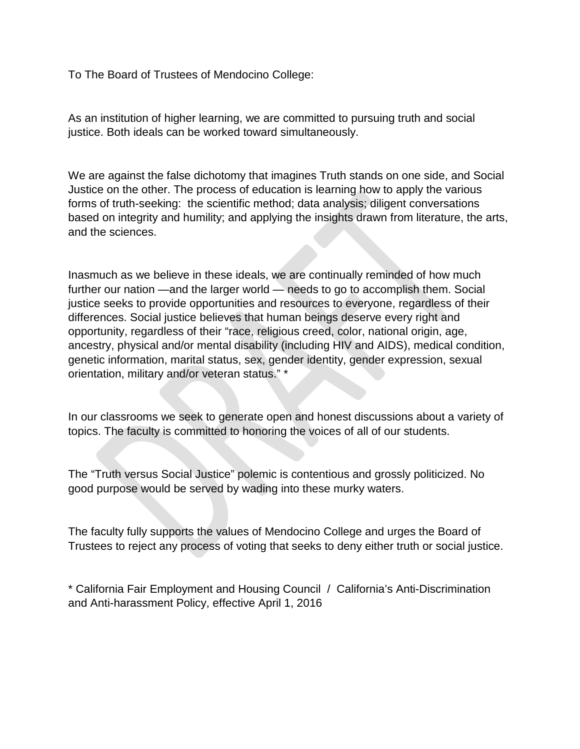To The Board of Trustees of Mendocino College:

As an institution of higher learning, we are committed to pursuing truth and social justice. Both ideals can be worked toward simultaneously.

We are against the false dichotomy that imagines Truth stands on one side, and Social Justice on the other. The process of education is learning how to apply the various forms of truth-seeking: the scientific method; data analysis; diligent conversations based on integrity and humility; and applying the insights drawn from literature, the arts, and the sciences.

Inasmuch as we believe in these ideals, we are continually reminded of how much further our nation —and the larger world — needs to go to accomplish them. Social justice seeks to provide opportunities and resources to everyone, regardless of their differences. Social justice believes that human beings deserve every right and opportunity, regardless of their "race, religious creed, color, national origin, age, ancestry, physical and/or mental disability (including HIV and AIDS), medical condition, genetic information, marital status, sex, gender identity, gender expression, sexual orientation, military and/or veteran status." \*

In our classrooms we seek to generate open and honest discussions about a variety of topics. The faculty is committed to honoring the voices of all of our students.

The "Truth versus Social Justice" polemic is contentious and grossly politicized. No good purpose would be served by wading into these murky waters.

The faculty fully supports the values of Mendocino College and urges the Board of Trustees to reject any process of voting that seeks to deny either truth or social justice.

\* California Fair Employment and Housing Council / California's Anti-Discrimination and Anti-harassment Policy, effective April 1, 2016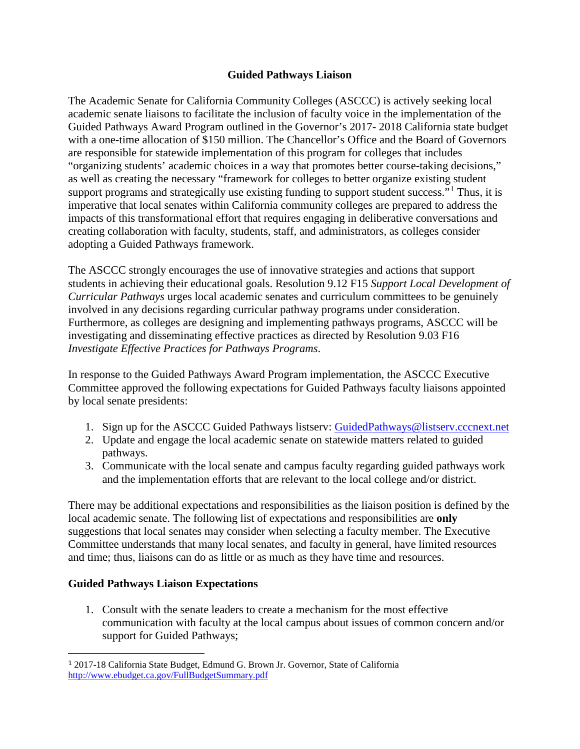# **Guided Pathways Liaison**

The Academic Senate for California Community Colleges (ASCCC) is actively seeking local academic senate liaisons to facilitate the inclusion of faculty voice in the implementation of the Guided Pathways Award Program outlined in the Governor's 2017- 2018 California state budget with a one-time allocation of \$150 million. The Chancellor's Office and the Board of Governors are responsible for statewide implementation of this program for colleges that includes "organizing students' academic choices in a way that promotes better course-taking decisions," as well as creating the necessary "framework for colleges to better organize existing student support programs and strategically use existing funding to support student success.<sup>"[1](#page-12-0)</sup> Thus, it is imperative that local senates within California community colleges are prepared to address the impacts of this transformational effort that requires engaging in deliberative conversations and creating collaboration with faculty, students, staff, and administrators, as colleges consider adopting a Guided Pathways framework.

The ASCCC strongly encourages the use of innovative strategies and actions that support students in achieving their educational goals. Resolution 9.12 F15 *Support Local Development of Curricular Pathways* urges local academic senates and curriculum committees to be genuinely involved in any decisions regarding curricular pathway programs under consideration. Furthermore, as colleges are designing and implementing pathways programs, ASCCC will be investigating and disseminating effective practices as directed by Resolution 9.03 F16 *Investigate Effective Practices for Pathways Programs*.

In response to the Guided Pathways Award Program implementation, the ASCCC Executive Committee approved the following expectations for Guided Pathways faculty liaisons appointed by local senate presidents:

- 1. Sign up for the ASCCC Guided Pathways listserv: [GuidedPathways@listserv.cccnext.net](mailto:GuidedPathways@listserv.cccnext.net)
- 2. Update and engage the local academic senate on statewide matters related to guided pathways.
- 3. Communicate with the local senate and campus faculty regarding guided pathways work and the implementation efforts that are relevant to the local college and/or district.

There may be additional expectations and responsibilities as the liaison position is defined by the local academic senate. The following list of expectations and responsibilities are **only**  suggestions that local senates may consider when selecting a faculty member. The Executive Committee understands that many local senates, and faculty in general, have limited resources and time; thus, liaisons can do as little or as much as they have time and resources.

# **Guided Pathways Liaison Expectations**

1. Consult with the senate leaders to create a mechanism for the most effective communication with faculty at the local campus about issues of common concern and/or support for Guided Pathways;

<span id="page-12-0"></span> <sup>1</sup> 2017-18 California State Budget, Edmund G. Brown Jr. Governor, State of California <http://www.ebudget.ca.gov/FullBudgetSummary.pdf>